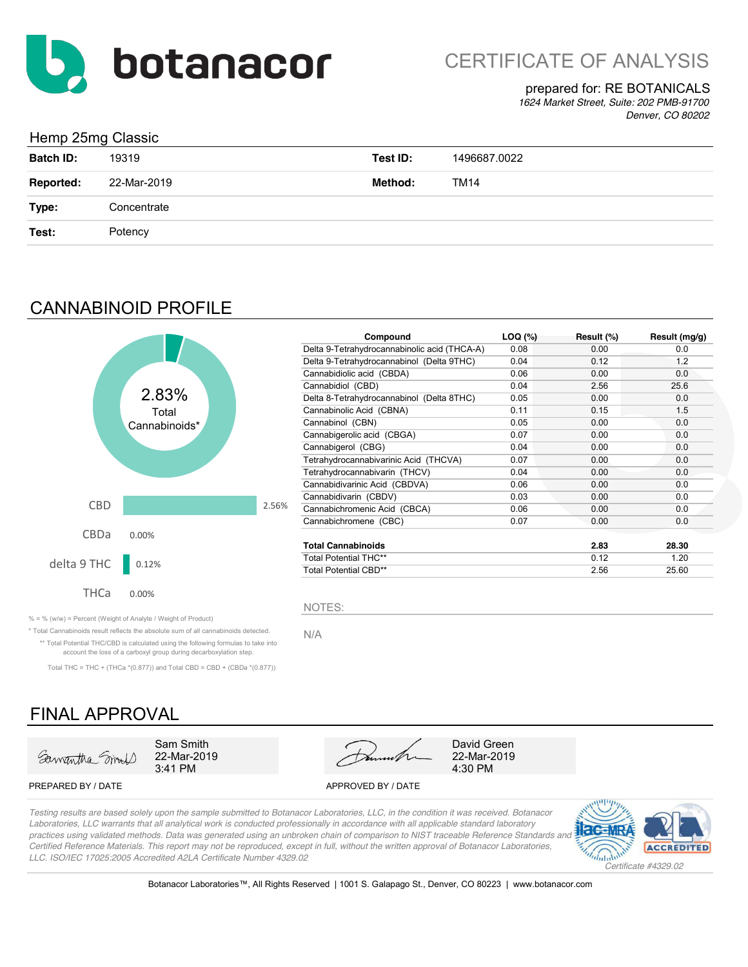

## prepared for: RE BOTANICALS

*1624 Market Street, Suite: 202 PMB-91700 Denver, CO 80202*

## Hemp 25mg Classic

| ັ                |             |          |              |
|------------------|-------------|----------|--------------|
| <b>Batch ID:</b> | 19319       | Test ID: | 1496687.0022 |
| Reported:        | 22-Mar-2019 | Method:  | TM14         |
| Type:            | Concentrate |          |              |
| Test:            | Potency     |          |              |

## CANNABINOID PROFILE



| Compound                                     | LOQ (%) | Result (%) | Result (mg/g) |
|----------------------------------------------|---------|------------|---------------|
| Delta 9-Tetrahydrocannabinolic acid (THCA-A) | 0.08    | 0.00       | 0.0           |
| Delta 9-Tetrahydrocannabinol (Delta 9THC)    | 0.04    | 0.12       | 1.2           |
| Cannabidiolic acid (CBDA)                    | 0.06    | 0.00       | 0.0           |
| Cannabidiol (CBD)                            | 0.04    | 2.56       | 25.6          |
| Delta 8-Tetrahydrocannabinol (Delta 8THC)    | 0.05    | 0.00       | 0.0           |
| Cannabinolic Acid (CBNA)                     | 0.11    | 0.15       | 1.5           |
| Cannabinol (CBN)                             | 0.05    | 0.00       | 0.0           |
| Cannabigerolic acid (CBGA)                   | 0.07    | 0.00       | 0.0           |
| Cannabigerol (CBG)                           | 0.04    | 0.00       | 0.0           |
| Tetrahydrocannabivarinic Acid (THCVA)        | 0.07    | 0.00       | 0.0           |
| Tetrahydrocannabivarin (THCV)                | 0.04    | 0.00       | 0.0           |
| Cannabidivarinic Acid (CBDVA)                | 0.06    | 0.00       | 0.0           |
| Cannabidivarin (CBDV)                        | 0.03    | 0.00       | 0.0           |
| Cannabichromenic Acid (CBCA)                 | 0.06    | 0.00       | 0.0           |
| Cannabichromene (CBC)                        | 0.07    | 0.00       | 0.0           |
| <b>Total Cannabinoids</b>                    |         | 2.83       | 28.30         |
| <b>Total Potential THC**</b>                 |         | 0.12       | 1.20          |
| <b>Total Potential CBD**</b>                 |         | 2.56       | 25.60         |

 $% =$  % (w/w) = Percent (Weight of Analyte / Weight of Product)

\* Total Cannabinoids result reflects the absolute sum of all cannabinoids detected. N/A \*\* Total Potential THC/CBD is calculated using the following formulas to take into

account the loss of a carboxyl group during decarboxylation step. Total THC = THC + (THCa  $*(0.877)$ ) and Total CBD = CBD + (CBDa  $*(0.877)$ )

## FINAL APPROVAL





#### PREPARED BY / DATE APPROVED BY / DATE

*Testing results are based solely upon the sample submitted to Botanacor Laboratories, LLC, in the condition it was received. Botanacor Laboratories, LLC warrants that all analytical work is conducted professionally in accordance with all applicable standard laboratory*  practices using validated methods. Data was generated using an unbroken chain of comparison to NIST traceable Reference Standards and *Certified Reference Materials. This report may not be reproduced, except in full, without the written approval of Botanacor Laboratories, LLC. ISO/IEC 17025:2005 Accredited A2LA Certificate Number 4329.02*

NOTES:



Botanacor Laboratories™, All Rights Reserved | 1001 S. Galapago St., Denver, CO 80223 | www.botanacor.com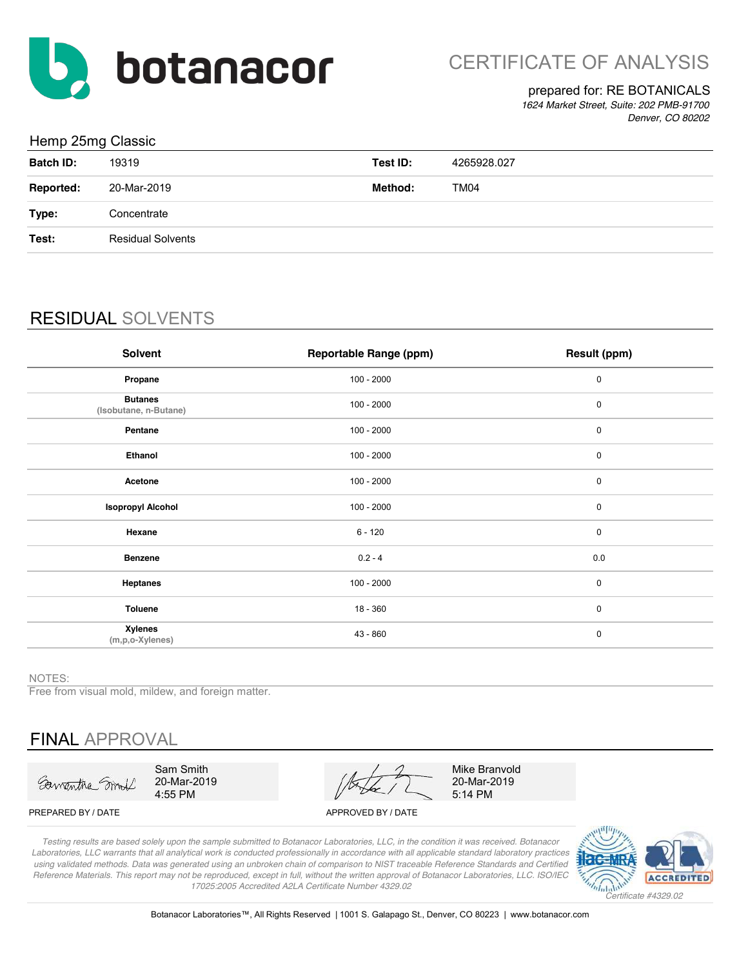

## prepared for: RE BOTANICALS

*1624 Market Street, Suite: 202 PMB-91700 Denver, CO 80202*

## Hemp 25mg Classic

| and the contract of the contract of the contract of the contract of the contract of the contract of the contract of | . .                      |          |             |
|---------------------------------------------------------------------------------------------------------------------|--------------------------|----------|-------------|
| <b>Batch ID:</b>                                                                                                    | 19319                    | Test ID: | 4265928.027 |
| <b>Reported:</b>                                                                                                    | 20-Mar-2019              | Method:  | <b>TM04</b> |
| Type:                                                                                                               | Concentrate              |          |             |
| Test:                                                                                                               | <b>Residual Solvents</b> |          |             |
|                                                                                                                     |                          |          |             |

## RESIDUAL SOLVENTS

| Solvent                                 | <b>Reportable Range (ppm)</b> | Result (ppm) |
|-----------------------------------------|-------------------------------|--------------|
| Propane                                 | $100 - 2000$                  | $\pmb{0}$    |
| <b>Butanes</b><br>(Isobutane, n-Butane) | $100 - 2000$                  | $\pmb{0}$    |
| Pentane                                 | $100 - 2000$                  | $\pmb{0}$    |
| Ethanol                                 | $100 - 2000$                  | 0            |
| Acetone                                 | $100 - 2000$                  | $\mathbf 0$  |
| <b>Isopropyl Alcohol</b>                | $100 - 2000$                  | $\pmb{0}$    |
| Hexane                                  | $6 - 120$                     | $\mathbf 0$  |
| <b>Benzene</b>                          | $0.2 - 4$                     | 0.0          |
| <b>Heptanes</b>                         | $100 - 2000$                  | $\pmb{0}$    |
| <b>Toluene</b>                          | $18 - 360$                    | $\mathbf 0$  |
| <b>Xylenes</b><br>(m,p,o-Xylenes)       | $43 - 860$                    | $\mathbf 0$  |

NOTES:

Free from visual mold, mildew, and foreign matter.

# FINAL APPROVAL

Sawantha Smit

Sam Smith 20-Mar-2019 4:55 PM

20-Mar-2019 5:14 PM Mike Branvold

PREPARED BY / DATE APPROVED BY / DATE

*Testing results are based solely upon the sample submitted to Botanacor Laboratories, LLC, in the condition it was received. Botanacor Laboratories, LLC warrants that all analytical work is conducted professionally in accordance with all applicable standard laboratory practices using validated methods. Data was generated using an unbroken chain of comparison to NIST traceable Reference Standards and Certified Reference Materials. This report may not be reproduced, except in full, without the written approval of Botanacor Laboratories, LLC. ISO/IEC 17025:2005 Accredited A2LA Certificate Number 4329.02*

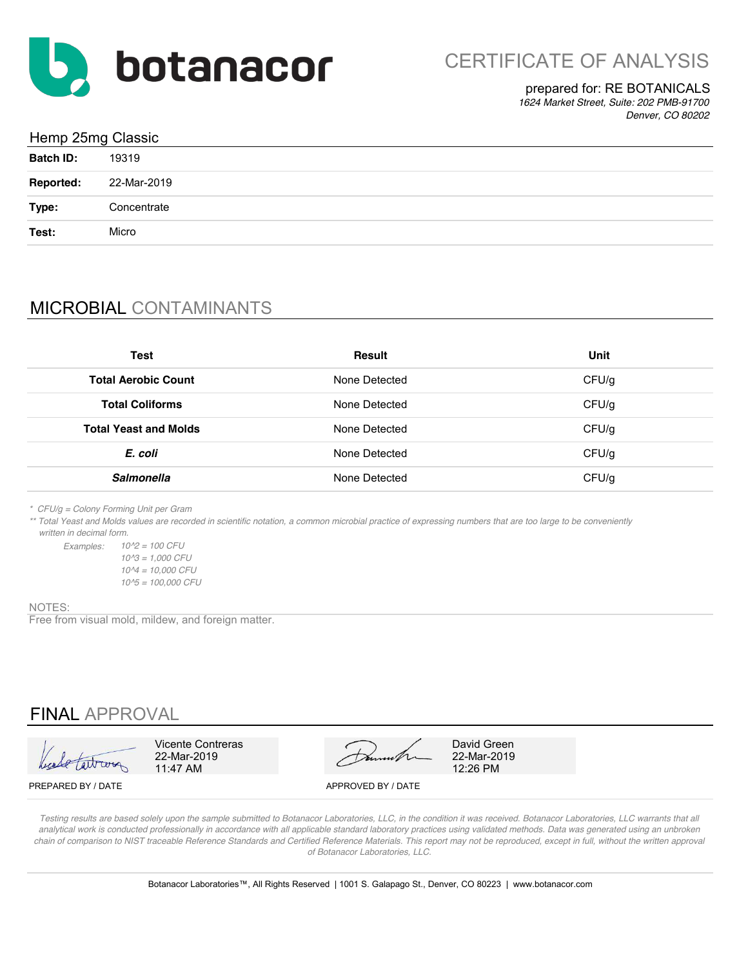

## prepared for: RE BOTANICALS

*1624 Market Street, Suite: 202 PMB-91700 Denver, CO 80202*

| Hemp 25mg Classic |             |  |
|-------------------|-------------|--|
| <b>Batch ID:</b>  | 19319       |  |
| <b>Reported:</b>  | 22-Mar-2019 |  |
| Type:             | Concentrate |  |
| Test:             | Micro       |  |

# MICROBIAL CONTAMINANTS

| <b>Test</b>                  | Result        | Unit  |
|------------------------------|---------------|-------|
| <b>Total Aerobic Count</b>   | None Detected | CFU/g |
| <b>Total Coliforms</b>       | None Detected | CFU/g |
| <b>Total Yeast and Molds</b> | None Detected | CFU/g |
| E. coli                      | None Detected | CFU/g |
| <b>Salmonella</b>            | None Detected | CFU/g |

*\* CFU/g = Colony Forming Unit per Gram*

*\*\* Total Yeast and Molds values are recorded in scientific notation, a common microbial practice of expressing numbers that are too large to be conveniently written in decimal form.*

*Examples: 10^2 = 100 CFU 10^5 = 100,000 CFU 10^3 = 1,000 CFU 10^4 = 10,000 CFU*

#### NOTES:

Free from visual mold, mildew, and foreign matter.

## FINAL APPROVAL

| Leade taitrans |  |
|----------------|--|



PREPARED BY / DATE APPROVED BY / DATE

*Testing results are based solely upon the sample submitted to Botanacor Laboratories, LLC, in the condition it was received. Botanacor Laboratories, LLC warrants that all*  analytical work is conducted professionally in accordance with all applicable standard laboratory practices using validated methods. Data was generated using an unbroken *chain of comparison to NIST traceable Reference Standards and Certified Reference Materials. This report may not be reproduced, except in full, without the written approval of Botanacor Laboratories, LLC.*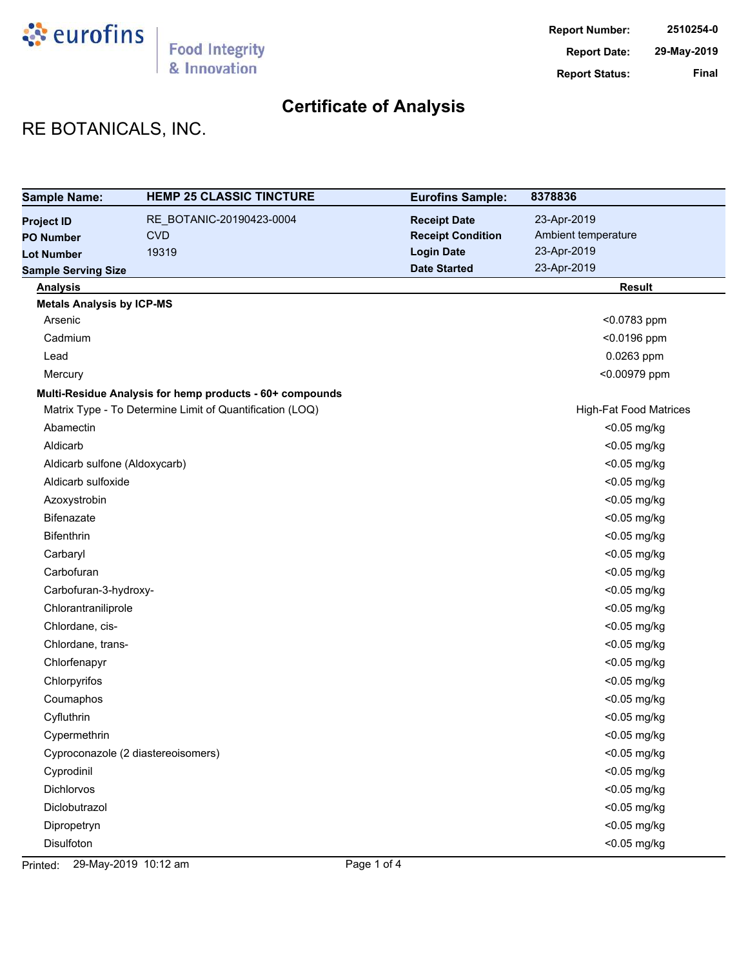

# **Certificate of Analysis**

# RE BOTANICALS, INC.

| <b>Sample Name:</b>              | <b>HEMP 25 CLASSIC TINCTURE</b>                          | <b>Eurofins Sample:</b>  | 8378836                       |
|----------------------------------|----------------------------------------------------------|--------------------------|-------------------------------|
| <b>Project ID</b>                | RE_BOTANIC-20190423-0004                                 | <b>Receipt Date</b>      | 23-Apr-2019                   |
| <b>PO Number</b>                 | <b>CVD</b>                                               | <b>Receipt Condition</b> | Ambient temperature           |
| <b>Lot Number</b>                | 19319                                                    | <b>Login Date</b>        | 23-Apr-2019                   |
| <b>Sample Serving Size</b>       |                                                          | <b>Date Started</b>      | 23-Apr-2019                   |
| <b>Analysis</b>                  |                                                          |                          | <b>Result</b>                 |
| <b>Metals Analysis by ICP-MS</b> |                                                          |                          |                               |
| Arsenic                          |                                                          |                          | <0.0783 ppm                   |
| Cadmium                          |                                                          |                          | <0.0196 ppm                   |
| Lead                             |                                                          |                          | 0.0263 ppm                    |
| Mercury                          |                                                          |                          | <0.00979 ppm                  |
|                                  | Multi-Residue Analysis for hemp products - 60+ compounds |                          |                               |
|                                  | Matrix Type - To Determine Limit of Quantification (LOQ) |                          | <b>High-Fat Food Matrices</b> |
| Abamectin                        |                                                          |                          | <0.05 mg/kg                   |
| Aldicarb                         |                                                          |                          | <0.05 mg/kg                   |
| Aldicarb sulfone (Aldoxycarb)    |                                                          |                          | <0.05 mg/kg                   |
| Aldicarb sulfoxide               |                                                          |                          | <0.05 mg/kg                   |
| Azoxystrobin                     |                                                          |                          | <0.05 mg/kg                   |
| <b>Bifenazate</b>                |                                                          |                          | <0.05 mg/kg                   |
| Bifenthrin                       |                                                          |                          | <0.05 mg/kg                   |
| Carbaryl                         |                                                          |                          | <0.05 mg/kg                   |
| Carbofuran                       |                                                          |                          | <0.05 mg/kg                   |
| Carbofuran-3-hydroxy-            |                                                          |                          | <0.05 mg/kg                   |
| Chlorantraniliprole              |                                                          |                          | <0.05 mg/kg                   |
| Chlordane, cis-                  |                                                          |                          | <0.05 mg/kg                   |
| Chlordane, trans-                |                                                          |                          | <0.05 mg/kg                   |
| Chlorfenapyr                     |                                                          |                          | <0.05 mg/kg                   |
| Chlorpyrifos                     |                                                          |                          | <0.05 mg/kg                   |
| Coumaphos                        |                                                          |                          | <0.05 mg/kg                   |
| Cyfluthrin                       |                                                          |                          | <0.05 mg/kg                   |
| Cypermethrin                     |                                                          |                          | <0.05 mg/kg                   |
|                                  | Cyproconazole (2 diastereoisomers)                       |                          | <0.05 mg/kg                   |
| Cyprodinil                       |                                                          |                          | <0.05 mg/kg                   |
| Dichlorvos                       |                                                          |                          | <0.05 mg/kg                   |
| Diclobutrazol                    |                                                          |                          | <0.05 mg/kg                   |
| Dipropetryn                      |                                                          |                          | <0.05 mg/kg                   |
| Disulfoton                       |                                                          |                          | <0.05 mg/kg                   |

Printed: 29-May-2019 10:12 am Page 1 of 4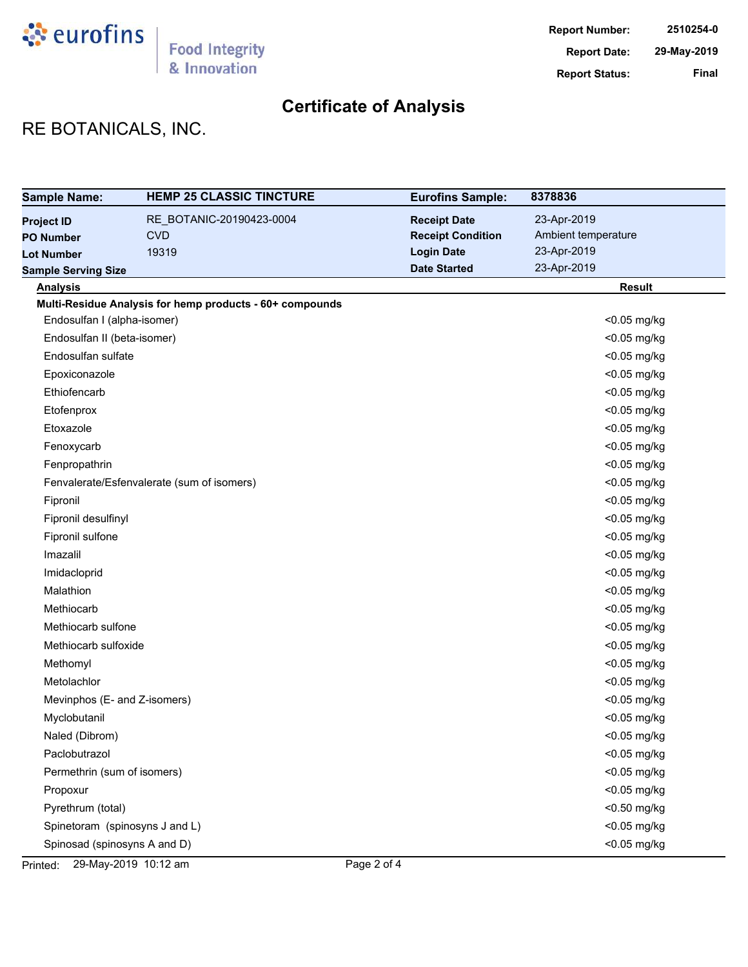

# **Certificate of Analysis**

# RE BOTANICALS, INC.

| <b>Sample Name:</b>            | <b>HEMP 25 CLASSIC TINCTURE</b>                          | <b>Eurofins Sample:</b>  | 8378836             |
|--------------------------------|----------------------------------------------------------|--------------------------|---------------------|
| <b>Project ID</b>              | RE_BOTANIC-20190423-0004                                 | <b>Receipt Date</b>      | 23-Apr-2019         |
| <b>PO Number</b>               | <b>CVD</b>                                               | <b>Receipt Condition</b> | Ambient temperature |
| <b>Lot Number</b>              | 19319                                                    | <b>Login Date</b>        | 23-Apr-2019         |
| <b>Sample Serving Size</b>     |                                                          | <b>Date Started</b>      | 23-Apr-2019         |
| <b>Analysis</b>                |                                                          |                          | <b>Result</b>       |
|                                | Multi-Residue Analysis for hemp products - 60+ compounds |                          |                     |
| Endosulfan I (alpha-isomer)    |                                                          |                          | <0.05 mg/kg         |
| Endosulfan II (beta-isomer)    |                                                          |                          | <0.05 mg/kg         |
| Endosulfan sulfate             |                                                          |                          | <0.05 mg/kg         |
| Epoxiconazole                  |                                                          |                          | <0.05 mg/kg         |
| Ethiofencarb                   |                                                          |                          | <0.05 mg/kg         |
| Etofenprox                     |                                                          |                          | <0.05 mg/kg         |
| Etoxazole                      |                                                          |                          | <0.05 mg/kg         |
| Fenoxycarb                     |                                                          |                          | <0.05 mg/kg         |
| Fenpropathrin                  |                                                          |                          | <0.05 mg/kg         |
|                                | Fenvalerate/Esfenvalerate (sum of isomers)               |                          | <0.05 mg/kg         |
| Fipronil                       |                                                          |                          | <0.05 mg/kg         |
| Fipronil desulfinyl            |                                                          |                          | <0.05 mg/kg         |
| Fipronil sulfone               |                                                          |                          | <0.05 mg/kg         |
| Imazalil                       |                                                          |                          | <0.05 mg/kg         |
| Imidacloprid                   |                                                          |                          | <0.05 mg/kg         |
| Malathion                      |                                                          |                          | <0.05 mg/kg         |
| Methiocarb                     |                                                          |                          | <0.05 mg/kg         |
| Methiocarb sulfone             |                                                          |                          | <0.05 mg/kg         |
| Methiocarb sulfoxide           |                                                          |                          | <0.05 mg/kg         |
| Methomyl                       |                                                          |                          | <0.05 mg/kg         |
| Metolachlor                    |                                                          |                          | <0.05 mg/kg         |
| Mevinphos (E- and Z-isomers)   |                                                          |                          | <0.05 mg/kg         |
| Myclobutanil                   |                                                          |                          | <0.05 mg/kg         |
| Naled (Dibrom)                 |                                                          |                          | <0.05 mg/kg         |
| Paclobutrazol                  |                                                          |                          | <0.05 mg/kg         |
| Permethrin (sum of isomers)    |                                                          |                          | <0.05 mg/kg         |
| Propoxur                       |                                                          |                          | <0.05 mg/kg         |
| Pyrethrum (total)              |                                                          |                          | <0.50 mg/kg         |
| Spinetoram (spinosyns J and L) |                                                          |                          | <0.05 mg/kg         |
| Spinosad (spinosyns A and D)   |                                                          |                          | <0.05 mg/kg         |

Printed: 29-May-2019 10:12 am Page 2 of 4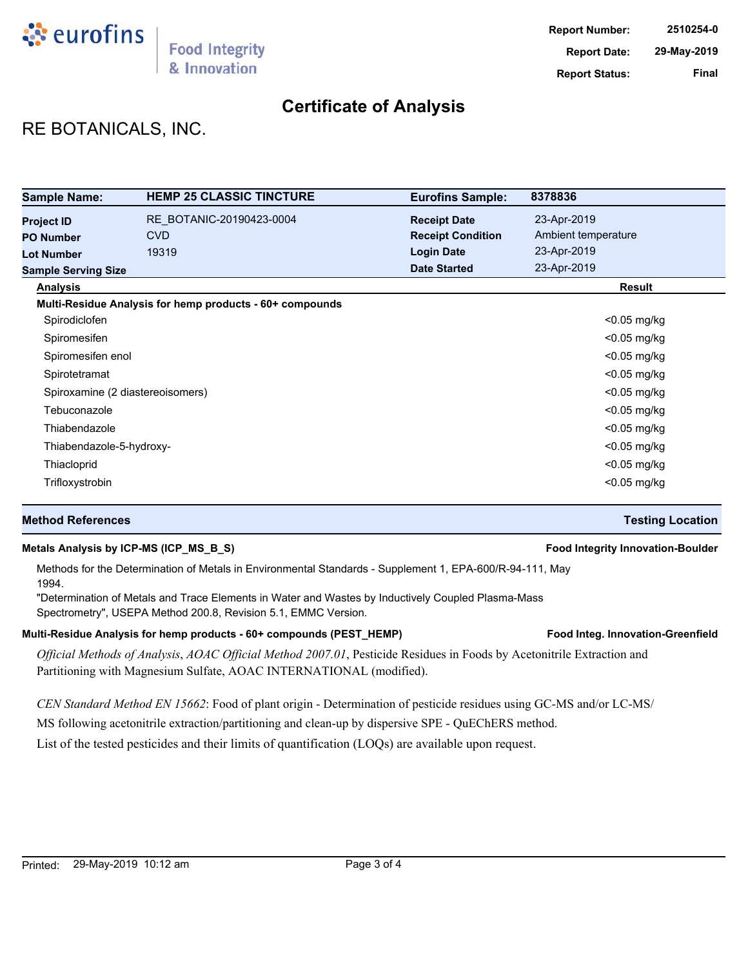

## **Certificate of Analysis**

## RE BOTANICALS, INC.

| <b>Sample Name:</b>                   | <b>HEMP 25 CLASSIC TINCTURE</b>                          | <b>Eurofins Sample:</b>                         | 8378836                            |
|---------------------------------------|----------------------------------------------------------|-------------------------------------------------|------------------------------------|
| <b>Project ID</b><br><b>PO Number</b> | RE BOTANIC-20190423-0004<br><b>CVD</b>                   | <b>Receipt Date</b><br><b>Receipt Condition</b> | 23-Apr-2019<br>Ambient temperature |
| <b>Lot Number</b>                     | 19319                                                    | <b>Login Date</b>                               | 23-Apr-2019                        |
| <b>Sample Serving Size</b>            |                                                          | <b>Date Started</b>                             | 23-Apr-2019                        |
| <b>Analysis</b>                       |                                                          |                                                 | Result                             |
|                                       | Multi-Residue Analysis for hemp products - 60+ compounds |                                                 |                                    |
| Spirodiclofen                         |                                                          |                                                 | $<$ 0.05 mg/kg                     |
| Spiromesifen                          |                                                          |                                                 | $<$ 0.05 mg/kg                     |
| Spiromesifen enol                     |                                                          |                                                 | $<$ 0.05 mg/kg                     |
| Spirotetramat                         |                                                          |                                                 | $<$ 0.05 mg/kg                     |
| Spiroxamine (2 diastereoisomers)      |                                                          |                                                 | $<$ 0.05 mg/kg                     |
| Tebuconazole                          |                                                          |                                                 | $<$ 0.05 mg/kg                     |
| Thiabendazole                         |                                                          |                                                 | $<$ 0.05 mg/kg                     |
| Thiabendazole-5-hydroxy-              |                                                          |                                                 | <0.05 mg/kg                        |
| Thiacloprid                           |                                                          |                                                 | $<$ 0.05 mg/kg                     |
| Trifloxystrobin                       |                                                          |                                                 | $<$ 0.05 mg/kg                     |

### **Method References Testing Location**

### **Metals Analysis by ICP-MS (ICP\_MS\_B\_S) Food Integrity Innovation-Boulder**

Methods for the Determination of Metals in Environmental Standards - Supplement 1, EPA-600/R-94-111, May 1994.

"Determination of Metals and Trace Elements in Water and Wastes by Inductively Coupled Plasma-Mass Spectrometry", USEPA Method 200.8, Revision 5.1, EMMC Version.

### Multi-Residue Analysis for hemp products - 60+ compounds (PEST\_HEMP) **Food Integ. Innovation-Greenfield**

*Official Methods of Analysis*, *AOAC Official Method 2007.01*, Pesticide Residues in Foods by Acetonitrile Extraction and Partitioning with Magnesium Sulfate, AOAC INTERNATIONAL (modified).

*CEN Standard Method EN 15662*: Food of plant origin - Determination of pesticide residues using GC-MS and/or LC-MS/

MS following acetonitrile extraction/partitioning and clean-up by dispersive SPE - QuEChERS method.

List of the tested pesticides and their limits of quantification (LOQs) are available upon request.